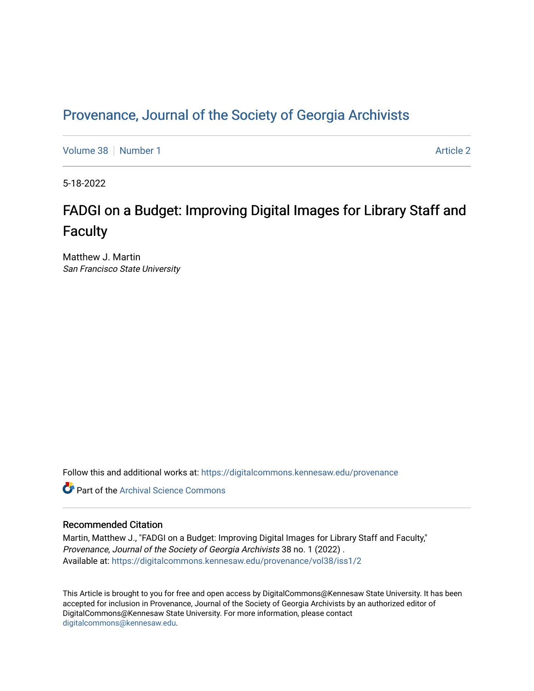# Provenance, Journal of the Society of Georgia Archivists

[Volume 38](https://digitalcommons.kennesaw.edu/provenance/vol38) [Number 1](https://digitalcommons.kennesaw.edu/provenance/vol38/iss1) [Article 2](https://digitalcommons.kennesaw.edu/provenance/vol38/iss1/2) Article 2 Article 2 Article 2 Article 2 Article 2 Article 2

5-18-2022

# FADGI on a Budget: Improving Digital Images for Library Staff and **Faculty**

Matthew J. Martin San Francisco State University

Follow this and additional works at: [https://digitalcommons.kennesaw.edu/provenance](https://digitalcommons.kennesaw.edu/provenance?utm_source=digitalcommons.kennesaw.edu%2Fprovenance%2Fvol38%2Fiss1%2F2&utm_medium=PDF&utm_campaign=PDFCoverPages) 

**C** Part of the Archival Science Commons

#### Recommended Citation

Martin, Matthew J., "FADGI on a Budget: Improving Digital Images for Library Staff and Faculty," Provenance, Journal of the Society of Georgia Archivists 38 no. 1 (2022) . Available at: [https://digitalcommons.kennesaw.edu/provenance/vol38/iss1/2](https://digitalcommons.kennesaw.edu/provenance/vol38/iss1/2?utm_source=digitalcommons.kennesaw.edu%2Fprovenance%2Fvol38%2Fiss1%2F2&utm_medium=PDF&utm_campaign=PDFCoverPages) 

This Article is brought to you for free and open access by DigitalCommons@Kennesaw State University. It has been accepted for inclusion in Provenance, Journal of the Society of Georgia Archivists by an authorized editor of DigitalCommons@Kennesaw State University. For more information, please contact [digitalcommons@kennesaw.edu.](mailto:digitalcommons@kennesaw.edu)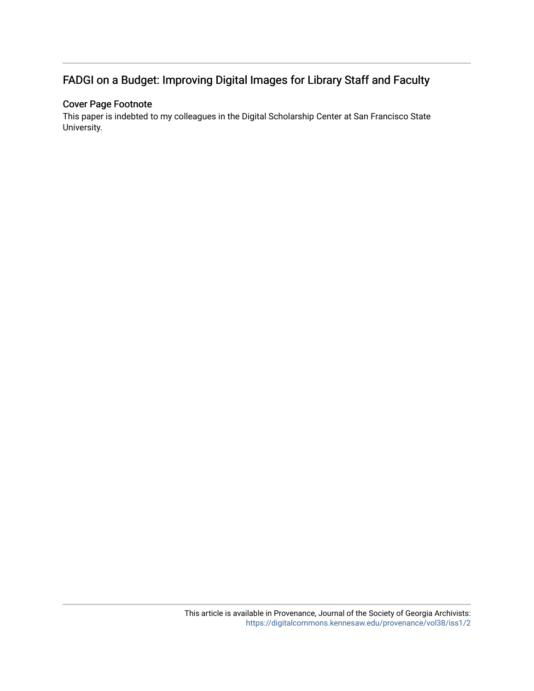# FADGI on a Budget: Improving Digital Images for Library Staff and Faculty

### Cover Page Footnote

This paper is indebted to my colleagues in the Digital Scholarship Center at San Francisco State University.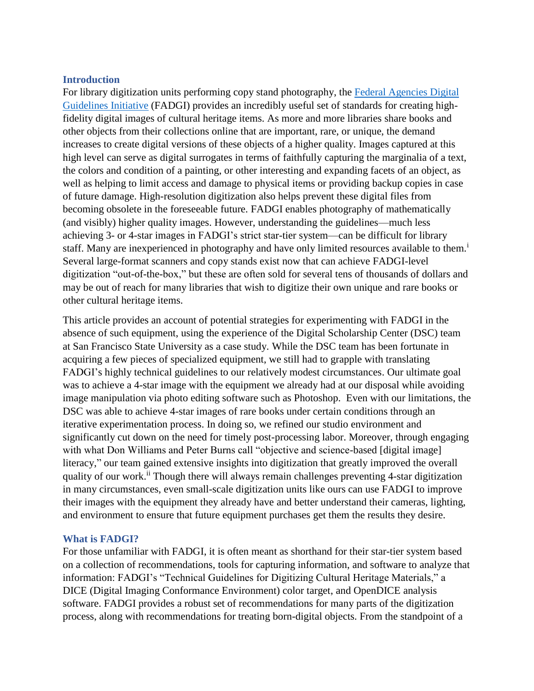### **Introduction**

For library digitization units performing copy stand photography, the [Federal Agencies Digital](http://www.digitizationguidelines.gov/guidelines/digitize-technical.html)  [Guidelines Initiative](http://www.digitizationguidelines.gov/guidelines/digitize-technical.html) (FADGI) provides an incredibly useful set of standards for creating highfidelity digital images of cultural heritage items. As more and more libraries share books and other objects from their collections online that are important, rare, or unique, the demand increases to create digital versions of these objects of a higher quality. Images captured at this high level can serve as digital surrogates in terms of faithfully capturing the marginalia of a text, the colors and condition of a painting, or other interesting and expanding facets of an object, as well as helping to limit access and damage to physical items or providing backup copies in case of future damage. High-resolution digitization also helps prevent these digital files from becoming obsolete in the foreseeable future. FADGI enables photography of mathematically (and visibly) higher quality images. However, understanding the guidelines—much less achieving 3- or 4-star images in FADGI's strict star-tier system—can be difficult for library staff. Many are inexperienced in photography and have only limited resources available to them.<sup>1</sup> Several large-format scanners and copy stands exist now that can achieve FADGI-level digitization "out-of-the-box," but these are often sold for several tens of thousands of dollars and may be out of reach for many libraries that wish to digitize their own unique and rare books or other cultural heritage items.

This article provides an account of potential strategies for experimenting with FADGI in the absence of such equipment, using the experience of the Digital Scholarship Center (DSC) team at San Francisco State University as a case study. While the DSC team has been fortunate in acquiring a few pieces of specialized equipment, we still had to grapple with translating FADGI's highly technical guidelines to our relatively modest circumstances. Our ultimate goal was to achieve a 4-star image with the equipment we already had at our disposal while avoiding image manipulation via photo editing software such as Photoshop. Even with our limitations, the DSC was able to achieve 4-star images of rare books under certain conditions through an iterative experimentation process. In doing so, we refined our studio environment and significantly cut down on the need for timely post-processing labor. Moreover, through engaging with what Don Williams and Peter Burns call "objective and science-based [digital image] literacy," our team gained extensive insights into digitization that greatly improved the overall quality of our work.<sup>ii</sup> Though there will always remain challenges preventing 4-star digitization in many circumstances, even small-scale digitization units like ours can use FADGI to improve their images with the equipment they already have and better understand their cameras, lighting, and environment to ensure that future equipment purchases get them the results they desire.

### **What is FADGI?**

For those unfamiliar with FADGI, it is often meant as shorthand for their star-tier system based on a collection of recommendations, tools for capturing information, and software to analyze that information: FADGI's "Technical Guidelines for Digitizing Cultural Heritage Materials," a DICE (Digital Imaging Conformance Environment) color target, and OpenDICE analysis software. FADGI provides a robust set of recommendations for many parts of the digitization process, along with recommendations for treating born-digital objects. From the standpoint of a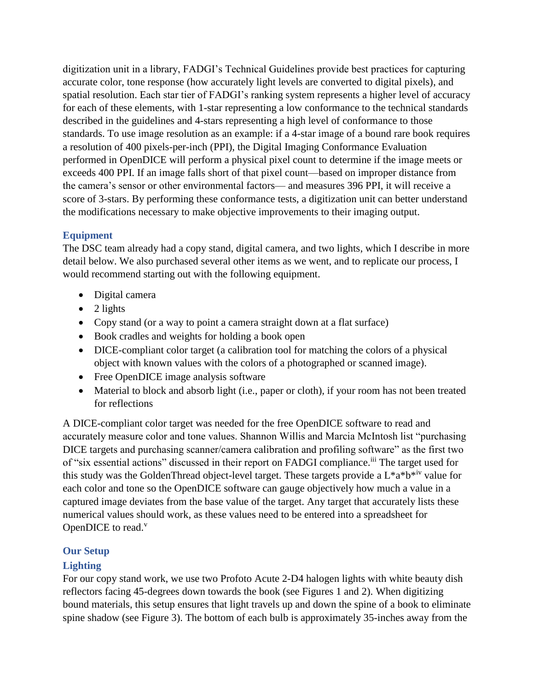digitization unit in a library, FADGI's Technical Guidelines provide best practices for capturing accurate color, tone response (how accurately light levels are converted to digital pixels), and spatial resolution. Each star tier of FADGI's ranking system represents a higher level of accuracy for each of these elements, with 1-star representing a low conformance to the technical standards described in the guidelines and 4-stars representing a high level of conformance to those standards. To use image resolution as an example: if a 4-star image of a bound rare book requires a resolution of 400 pixels-per-inch (PPI), the Digital Imaging Conformance Evaluation performed in OpenDICE will perform a physical pixel count to determine if the image meets or exceeds 400 PPI. If an image falls short of that pixel count—based on improper distance from the camera's sensor or other environmental factors— and measures 396 PPI, it will receive a score of 3-stars. By performing these conformance tests, a digitization unit can better understand the modifications necessary to make objective improvements to their imaging output.

# **Equipment**

The DSC team already had a copy stand, digital camera, and two lights, which I describe in more detail below. We also purchased several other items as we went, and to replicate our process, I would recommend starting out with the following equipment.

- Digital camera
- $\bullet$  2 lights
- Copy stand (or a way to point a camera straight down at a flat surface)
- Book cradles and weights for holding a book open
- DICE-compliant color target (a calibration tool for matching the colors of a physical object with known values with the colors of a photographed or scanned image).
- Free OpenDICE image analysis software
- Material to block and absorb light (i.e., paper or cloth), if your room has not been treated for reflections

A DICE-compliant color target was needed for the free OpenDICE software to read and accurately measure color and tone values. Shannon Willis and Marcia McIntosh list "purchasing DICE targets and purchasing scanner/camera calibration and profiling software" as the first two of "six essential actions" discussed in their report on FADGI compliance.<sup>iii</sup> The target used for this study was the GoldenThread object-level target. These targets provide a  $L^*a^*b^{*iv}$  value for each color and tone so the OpenDICE software can gauge objectively how much a value in a captured image deviates from the base value of the target. Any target that accurately lists these numerical values should work, as these values need to be entered into a spreadsheet for OpenDICE to read. $v$ 

## **Our Setup**

## **Lighting**

For our copy stand work, we use two Profoto Acute 2-D4 halogen lights with white beauty dish reflectors facing 45-degrees down towards the book (see Figures 1 and 2). When digitizing bound materials, this setup ensures that light travels up and down the spine of a book to eliminate spine shadow (see Figure 3). The bottom of each bulb is approximately 35-inches away from the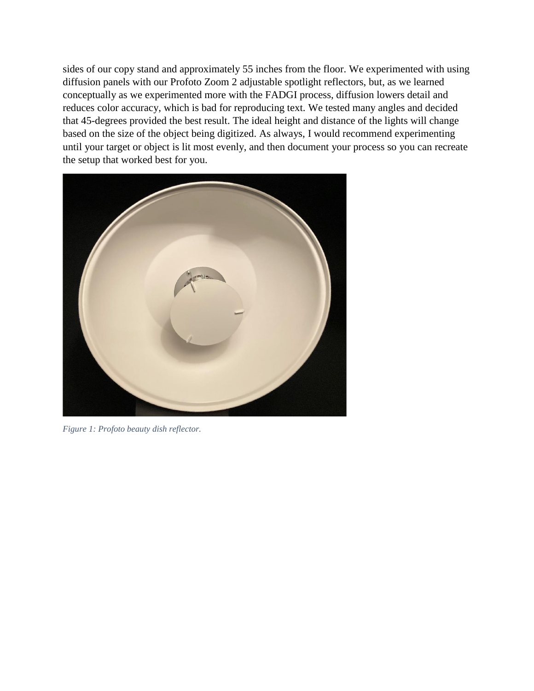sides of our copy stand and approximately 55 inches from the floor. We experimented with using diffusion panels with our Profoto Zoom 2 adjustable spotlight reflectors, but, as we learned conceptually as we experimented more with the FADGI process, diffusion lowers detail and reduces color accuracy, which is bad for reproducing text. We tested many angles and decided that 45-degrees provided the best result. The ideal height and distance of the lights will change based on the size of the object being digitized. As always, I would recommend experimenting until your target or object is lit most evenly, and then document your process so you can recreate the setup that worked best for you.



*Figure 1: Profoto beauty dish reflector.*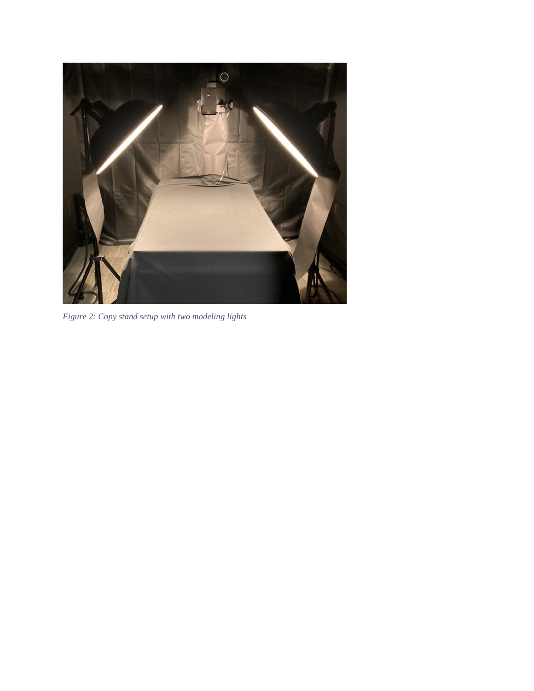

*Figure 2: Copy stand setup with two modeling lights*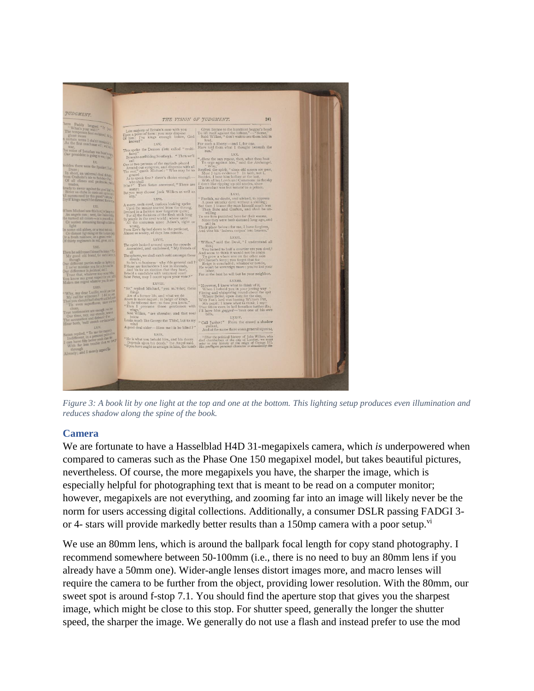

*Figure 3: A book lit by one light at the top and one at the bottom. This lighting setup produces even illumination and reduces shadow along the spine of the book.*

### **Camera**

We are fortunate to have a Hasselblad H4D 31-megapixels camera, which *is* underpowered when compared to cameras such as the Phase One 150 megapixel model, but takes beautiful pictures, nevertheless. Of course, the more megapixels you have, the sharper the image, which is especially helpful for photographing text that is meant to be read on a computer monitor; however, megapixels are not everything, and zooming far into an image will likely never be the norm for users accessing digital collections. Additionally, a consumer DSLR passing FADGI 3 or 4- stars will provide markedly better results than a 150mp camera with a poor setup.<sup>vi</sup>

We use an 80mm lens, which is around the ballpark focal length for copy stand photography. I recommend somewhere between 50-100mm (i.e., there is no need to buy an 80mm lens if you already have a 50mm one). Wider-angle lenses distort images more, and macro lenses will require the camera to be further from the object, providing lower resolution. With the 80mm, our sweet spot is around f-stop 7.1. You should find the aperture stop that gives you the sharpest image, which might be close to this stop. For shutter speed, generally the longer the shutter speed, the sharper the image. We generally do not use a flash and instead prefer to use the mod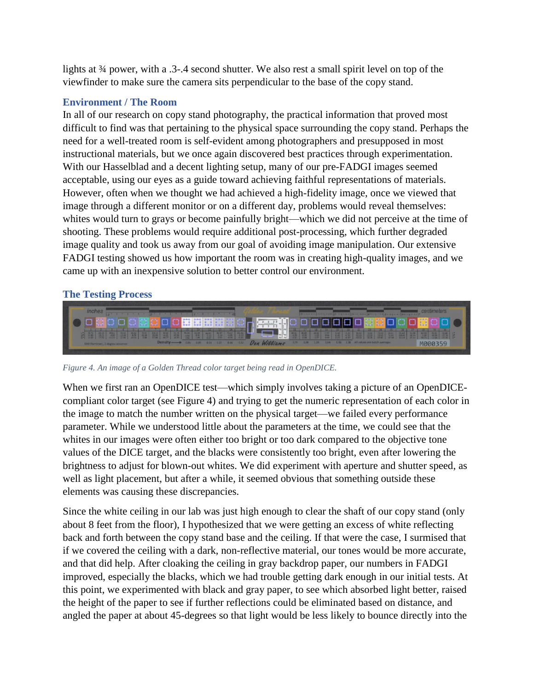lights at  $\frac{3}{4}$  power, with a .3-.4 second shutter. We also rest a small spirit level on top of the viewfinder to make sure the camera sits perpendicular to the base of the copy stand.

### **Environment / The Room**

In all of our research on copy stand photography, the practical information that proved most difficult to find was that pertaining to the physical space surrounding the copy stand. Perhaps the need for a well-treated room is self-evident among photographers and presupposed in most instructional materials, but we once again discovered best practices through experimentation. With our Hasselblad and a decent lighting setup, many of our pre-FADGI images seemed acceptable, using our eyes as a guide toward achieving faithful representations of materials. However, often when we thought we had achieved a high-fidelity image, once we viewed that image through a different monitor or on a different day, problems would reveal themselves: whites would turn to grays or become painfully bright—which we did not perceive at the time of shooting. These problems would require additional post-processing, which further degraded image quality and took us away from our goal of avoiding image manipulation. Our extensive FADGI testing showed us how important the room was in creating high-quality images, and we came up with an inexpensive solution to better control our environment.

### **The Testing Process**



*Figure 4. An image of a Golden Thread color target being read in OpenDICE.*

When we first ran an OpenDICE test—which simply involves taking a picture of an OpenDICEcompliant color target (see Figure 4) and trying to get the numeric representation of each color in the image to match the number written on the physical target—we failed every performance parameter. While we understood little about the parameters at the time, we could see that the whites in our images were often either too bright or too dark compared to the objective tone values of the DICE target, and the blacks were consistently too bright, even after lowering the brightness to adjust for blown-out whites. We did experiment with aperture and shutter speed, as well as light placement, but after a while, it seemed obvious that something outside these elements was causing these discrepancies.

Since the white ceiling in our lab was just high enough to clear the shaft of our copy stand (only about 8 feet from the floor), I hypothesized that we were getting an excess of white reflecting back and forth between the copy stand base and the ceiling. If that were the case, I surmised that if we covered the ceiling with a dark, non-reflective material, our tones would be more accurate, and that did help. After cloaking the ceiling in gray backdrop paper, our numbers in FADGI improved, especially the blacks, which we had trouble getting dark enough in our initial tests. At this point, we experimented with black and gray paper, to see which absorbed light better, raised the height of the paper to see if further reflections could be eliminated based on distance, and angled the paper at about 45-degrees so that light would be less likely to bounce directly into the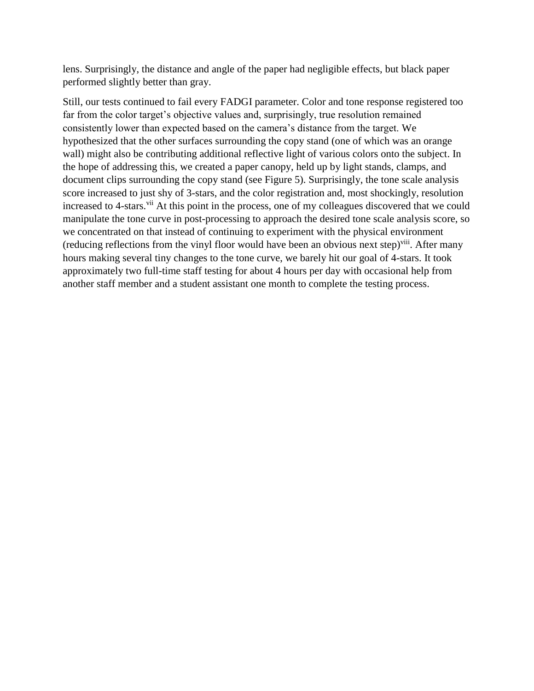lens. Surprisingly, the distance and angle of the paper had negligible effects, but black paper performed slightly better than gray.

Still, our tests continued to fail every FADGI parameter. Color and tone response registered too far from the color target's objective values and, surprisingly, true resolution remained consistently lower than expected based on the camera's distance from the target. We hypothesized that the other surfaces surrounding the copy stand (one of which was an orange wall) might also be contributing additional reflective light of various colors onto the subject. In the hope of addressing this, we created a paper canopy, held up by light stands, clamps, and document clips surrounding the copy stand (see Figure 5). Surprisingly, the tone scale analysis score increased to just shy of 3-stars, and the color registration and, most shockingly, resolution increased to 4-stars.<sup>vii</sup> At this point in the process, one of my colleagues discovered that we could manipulate the tone curve in post-processing to approach the desired tone scale analysis score, so we concentrated on that instead of continuing to experiment with the physical environment (reducing reflections from the vinyl floor would have been an obvious next step)<sup>viii</sup>. After many hours making several tiny changes to the tone curve, we barely hit our goal of 4-stars. It took approximately two full-time staff testing for about 4 hours per day with occasional help from another staff member and a student assistant one month to complete the testing process.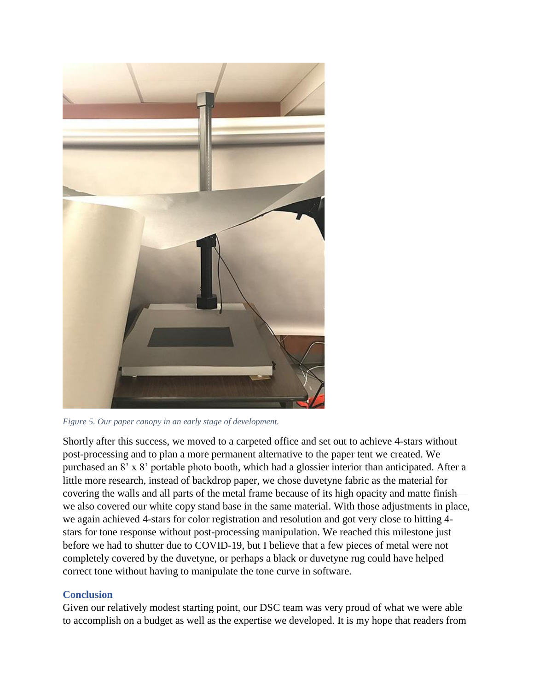

*Figure 5. Our paper canopy in an early stage of development.*

Shortly after this success, we moved to a carpeted office and set out to achieve 4-stars without post-processing and to plan a more permanent alternative to the paper tent we created. We purchased an 8' x 8' portable photo booth, which had a glossier interior than anticipated. After a little more research, instead of backdrop paper, we chose duvetyne fabric as the material for covering the walls and all parts of the metal frame because of its high opacity and matte finish we also covered our white copy stand base in the same material. With those adjustments in place, we again achieved 4-stars for color registration and resolution and got very close to hitting 4 stars for tone response without post-processing manipulation. We reached this milestone just before we had to shutter due to COVID-19, but I believe that a few pieces of metal were not completely covered by the duvetyne, or perhaps a black or duvetyne rug could have helped correct tone without having to manipulate the tone curve in software.

### **Conclusion**

Given our relatively modest starting point, our DSC team was very proud of what we were able to accomplish on a budget as well as the expertise we developed. It is my hope that readers from